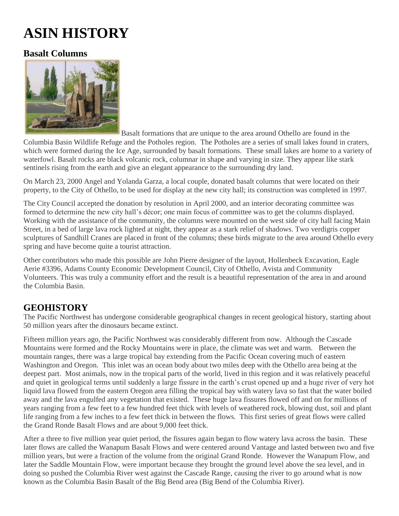## **ASIN HISTORY**

## **Basalt Columns**



Basalt formations that are unique to the area around Othello are found in the

Columbia Basin Wildlife Refuge and the Potholes region. The Potholes are a series of small lakes found in craters, which were formed during the Ice Age, surrounded by basalt formations. These small lakes are home to a variety of waterfowl. Basalt rocks are black volcanic rock, columnar in shape and varying in size. They appear like stark sentinels rising from the earth and give an elegant appearance to the surrounding dry land.

On March 23, 2000 Angel and Yolanda Garza, a local couple, donated basalt columns that were located on their property, to the City of Othello, to be used for display at the new city hall; its construction was completed in 1997.

The City Council accepted the donation by resolution in April 2000, and an interior decorating committee was formed to determine the new city hall's décor; one main focus of committee was to get the columns displayed. Working with the assistance of the community, the columns were mounted on the west side of city hall facing Main Street, in a bed of large lava rock lighted at night, they appear as a stark relief of shadows. Two verdigris copper sculptures of Sandhill Cranes are placed in front of the columns; these birds migrate to the area around Othello every spring and have become quite a tourist attraction.

Other contributors who made this possible are John Pierre designer of the layout, Hollenbeck Excavation, Eagle Aerie #3396, Adams County Economic Development Council, City of Othello, Avista and Community Volunteers. This was truly a community effort and the result is a beautiful representation of the area in and around the Columbia Basin.

## **GEOHISTORY**

The Pacific Northwest has undergone considerable geographical changes in recent geological history, starting about 50 million years after the dinosaurs became extinct.

Fifteen million years ago, the Pacific Northwest was considerably different from now. Although the Cascade Mountains were formed and the Rocky Mountains were in place, the climate was wet and warm. Between the mountain ranges, there was a large tropical bay extending from the Pacific Ocean covering much of eastern Washington and Oregon. This inlet was an ocean body about two miles deep with the Othello area being at the deepest part. Most animals, now in the tropical parts of the world, lived in this region and it was relatively peaceful and quiet in geological terms until suddenly a large fissure in the earth's crust opened up and a huge river of very hot liquid lava flowed from the eastern Oregon area filling the tropical bay with watery lava so fast that the water boiled away and the lava engulfed any vegetation that existed. These huge lava fissures flowed off and on for millions of years ranging from a few feet to a few hundred feet thick with levels of weathered rock, blowing dust, soil and plant life ranging from a few inches to a few feet thick in between the flows. This first series of great flows were called the Grand Ronde Basalt Flows and are about 9,000 feet thick.

After a three to five million year quiet period, the fissures again began to flow watery lava across the basin. These later flows are called the Wanapum Basalt Flows and were centered around Vantage and lasted between two and five million years, but were a fraction of the volume from the original Grand Ronde. However the Wanapum Flow, and later the Saddle Mountain Flow, were important because they brought the ground level above the sea level, and in doing so pushed the Columbia River west against the Cascade Range, causing the river to go around what is now known as the Columbia Basin Basalt of the Big Bend area (Big Bend of the Columbia River).